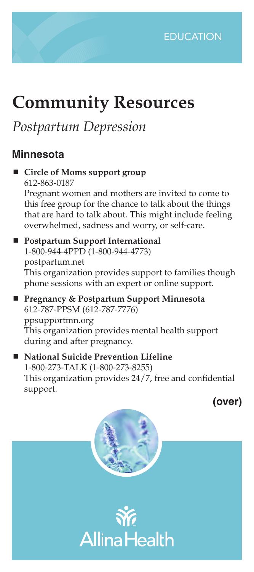

# **Community Resources**

# *Postpartum Depression*

### **Minnesota**

 **Circle of Moms support group** 612-863-0187 Pregnant women and mothers are invited to come to this free group for the chance to talk about the things that are hard to talk about. This might include feeling overwhelmed, sadness and worry, or self-care. **Postpartum Support International**  1-800-944-4PPD (1-800-944-4773) postpartum.net

This organization provides support to families though phone sessions with an expert or online support.

■ Pregnancy & Postpartum Support Minnesota 612-787-PPSM (612-787-7776) ppsupportmn.org This organization provides mental health support during and after pregnancy.

 **National Suicide Prevention Lifeline** 1-800-273-TALK (1-800-273-8255) This organization provides 24/7, free and confidential support.

**(over)**